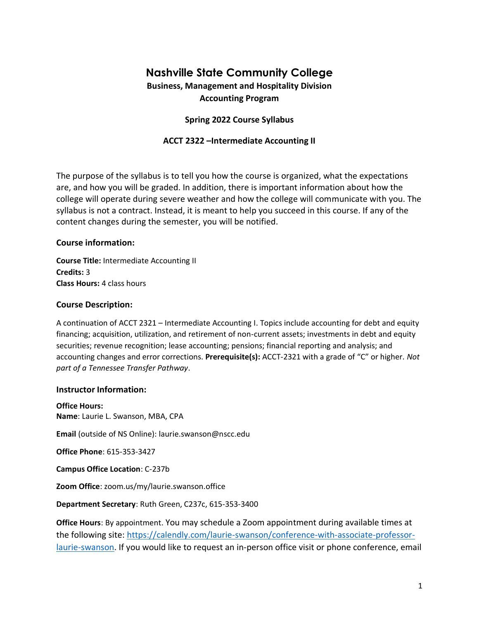# **Nashville State Community College**

# **Business, Management and Hospitality Division Accounting Program**

# **Spring 2022 Course Syllabus**

### **ACCT 2322 –Intermediate Accounting II**

The purpose of the syllabus is to tell you how the course is organized, what the expectations are, and how you will be graded. In addition, there is important information about how the college will operate during severe weather and how the college will communicate with you. The syllabus is not a contract. Instead, it is meant to help you succeed in this course. If any of the content changes during the semester, you will be notified.

#### **Course information:**

**Course Title:** Intermediate Accounting II **Credits:** 3 **Class Hours:** 4 class hours

#### **Course Description:**

A continuation of ACCT 2321 – Intermediate Accounting I. Topics include accounting for debt and equity financing; acquisition, utilization, and retirement of non-current assets; investments in debt and equity securities; revenue recognition; lease accounting; pensions; financial reporting and analysis; and accounting changes and error corrections. **Prerequisite(s):** ACCT-2321 with a grade of "C" or higher. *Not part of a Tennessee Transfer Pathway*.

#### **Instructor Information:**

**Office Hours: Name**: Laurie L. Swanson, MBA, CPA

**Email** (outside of NS Online): [laurie.swanson@nscc.edu](mailto:laurie.swanson@nscc.edu)

**Office Phone**: 615-353-3427

**Campus Office Location**: C-237b

**Zoom Office**: zoom.us/my/laurie.swanson.office

**Department Secretary**: Ruth Green, C237c, 615-353-3400

**Office Hours**: By appointment. You may schedule a Zoom appointment during available times at the following site: [https://calendly.com/laurie-swanson/conference-with-associate-professor](https://calendly.com/laurie-swanson/conference-with-associate-professor-laurie-swanson)[laurie-swanson.](https://calendly.com/laurie-swanson/conference-with-associate-professor-laurie-swanson) If you would like to request an in-person office visit or phone conference, email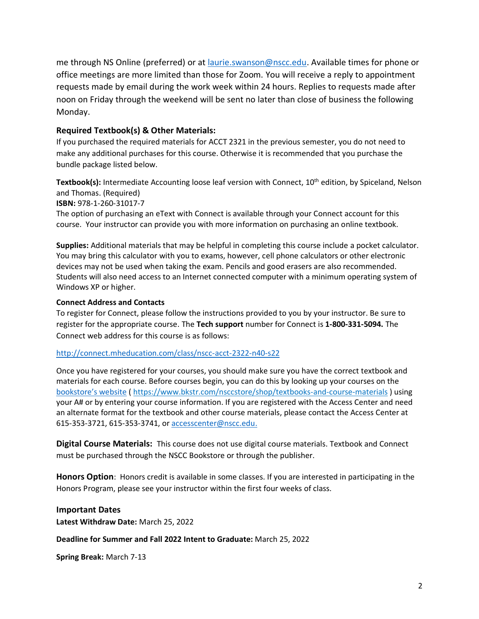me through NS Online (preferred) or at [laurie.swanson@nscc.edu.](mailto:laurie.swanson@nscc.edu) Available times for phone or office meetings are more limited than those for Zoom. You will receive a reply to appointment requests made by email during the work week within 24 hours. Replies to requests made after noon on Friday through the weekend will be sent no later than close of business the following Monday.

### **Required Textbook(s) & Other Materials:**

If you purchased the required materials for ACCT 2321 in the previous semester, you do not need to make any additional purchases for this course. Otherwise it is recommended that you purchase the bundle package listed below.

**Textbook(s):** Intermediate Accounting loose leaf version with Connect, 10<sup>th</sup> edition, by Spiceland, Nelson and Thomas. (Required) **ISBN:** 978-1-260-31017-7

The option of purchasing an eText with Connect is available through your Connect account for this course. Your instructor can provide you with more information on purchasing an online textbook.

**Supplies:** Additional materials that may be helpful in completing this course include a pocket calculator. You may bring this calculator with you to exams, however, cell phone calculators or other electronic devices may not be used when taking the exam. Pencils and good erasers are also recommended. Students will also need access to an Internet connected computer with a minimum operating system of Windows XP or higher.

#### **Connect Address and Contacts**

To register for Connect, please follow the instructions provided to you by your instructor. Be sure to register for the appropriate course. The **Tech support** number for Connect is **1-800-331-5094.** The Connect web address for this course is as follows:

#### [http://connect.mheducation.com/class/nscc-acct-2322-n40-s22](http://connect.mheducation.com/class/nscc-acct-2322-n40-s2)

Once you have registered for your courses, you should make sure you have the correct textbook and materials for each course. Before courses begin, you can do this by looking up your courses on the [bookstore's website](https://www.bkstr.com/nsccstore/shop/textbooks-and-course-materials) (<https://www.bkstr.com/nsccstore/shop/textbooks-and-course-materials> ) using your A# or by entering your course information. If you are registered with the Access Center and need an alternate format for the textbook and other course materials, please contact the Access Center at 615-353-3721, 615-353-3741, or [accesscenter@nscc.edu.](mailto:accesscenter@nscc.edu)

**Digital Course Materials:** This course does not use digital course materials. Textbook and Connect must be purchased through the NSCC Bookstore or through the publisher.

**Honors Option**: Honors credit is available in some classes. If you are interested in participating in the Honors Program, please see your instructor within the first four weeks of class.

**Important Dates Latest Withdraw Date:** March 25, 2022

#### **Deadline for Summer and Fall 2022 Intent to Graduate:** March 25, 2022

**Spring Break:** March 7-13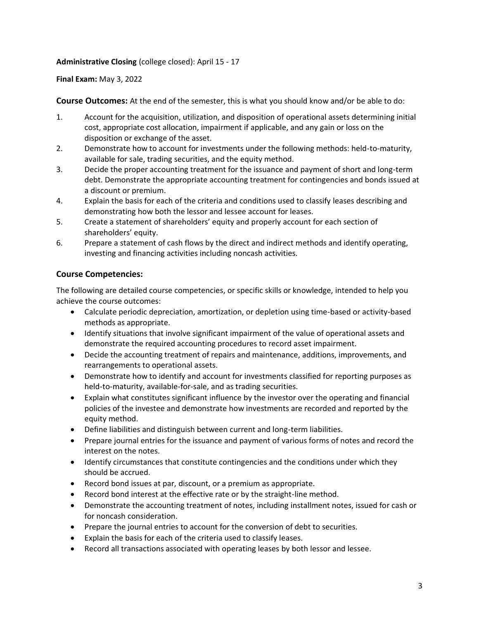### **Administrative Closing** (college closed): April 15 - 17

**Final Exam:** May 3, 2022

**Course Outcomes:** At the end of the semester, this is what you should know and/or be able to do:

- 1. Account for the acquisition, utilization, and disposition of operational assets determining initial cost, appropriate cost allocation, impairment if applicable, and any gain or loss on the disposition or exchange of the asset.
- 2. Demonstrate how to account for investments under the following methods: held-to-maturity, available for sale, trading securities, and the equity method.
- 3. Decide the proper accounting treatment for the issuance and payment of short and long-term debt. Demonstrate the appropriate accounting treatment for contingencies and bonds issued at a discount or premium.
- 4. Explain the basis for each of the criteria and conditions used to classify leases describing and demonstrating how both the lessor and lessee account for leases.
- 5. Create a statement of shareholders' equity and properly account for each section of shareholders' equity.
- 6. Prepare a statement of cash flows by the direct and indirect methods and identify operating, investing and financing activities including noncash activities.

# **Course Competencies:**

The following are detailed course competencies, or specific skills or knowledge, intended to help you achieve the course outcomes:

- Calculate periodic depreciation, amortization, or depletion using time-based or activity-based methods as appropriate.
- Identify situations that involve significant impairment of the value of operational assets and demonstrate the required accounting procedures to record asset impairment.
- Decide the accounting treatment of repairs and maintenance, additions, improvements, and rearrangements to operational assets.
- Demonstrate how to identify and account for investments classified for reporting purposes as held-to-maturity, available-for-sale, and as trading securities.
- Explain what constitutes significant influence by the investor over the operating and financial policies of the investee and demonstrate how investments are recorded and reported by the equity method.
- Define liabilities and distinguish between current and long-term liabilities.
- Prepare journal entries for the issuance and payment of various forms of notes and record the interest on the notes.
- Identify circumstances that constitute contingencies and the conditions under which they should be accrued.
- Record bond issues at par, discount, or a premium as appropriate.
- Record bond interest at the effective rate or by the straight-line method.
- Demonstrate the accounting treatment of notes, including installment notes, issued for cash or for noncash consideration.
- Prepare the journal entries to account for the conversion of debt to securities.
- Explain the basis for each of the criteria used to classify leases.
- Record all transactions associated with operating leases by both lessor and lessee.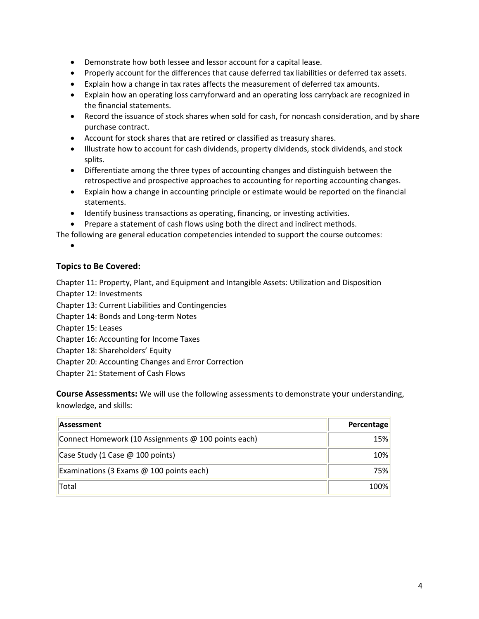- Demonstrate how both lessee and lessor account for a capital lease.
- Properly account for the differences that cause deferred tax liabilities or deferred tax assets.
- Explain how a change in tax rates affects the measurement of deferred tax amounts.
- Explain how an operating loss carryforward and an operating loss carryback are recognized in the financial statements.
- Record the issuance of stock shares when sold for cash, for noncash consideration, and by share purchase contract.
- Account for stock shares that are retired or classified as treasury shares.
- Illustrate how to account for cash dividends, property dividends, stock dividends, and stock splits.
- Differentiate among the three types of accounting changes and distinguish between the retrospective and prospective approaches to accounting for reporting accounting changes.
- Explain how a change in accounting principle or estimate would be reported on the financial statements.
- Identify business transactions as operating, financing, or investing activities.
- Prepare a statement of cash flows using both the direct and indirect methods.

The following are general education competencies intended to support the course outcomes:

•

#### **Topics to Be Covered:**

Chapter 11: Property, Plant, and Equipment and Intangible Assets: Utilization and Disposition

Chapter 12: Investments

Chapter 13: Current Liabilities and Contingencies

- Chapter 14: Bonds and Long-term Notes
- Chapter 15: Leases
- Chapter 16: Accounting for Income Taxes
- Chapter 18: Shareholders' Equity
- Chapter 20: Accounting Changes and Error Correction
- Chapter 21: Statement of Cash Flows

**Course Assessments:** We will use the following assessments to demonstrate your understanding, knowledge, and skills:

| Assessment                                          | Percentage |
|-----------------------------------------------------|------------|
| Connect Homework (10 Assignments @ 100 points each) | <b>15%</b> |
| Case Study (1 Case @ 100 points)                    | 10%        |
| Examinations (3 Exams $@$ 100 points each)          | <b>75%</b> |
| Total                                               | 100%       |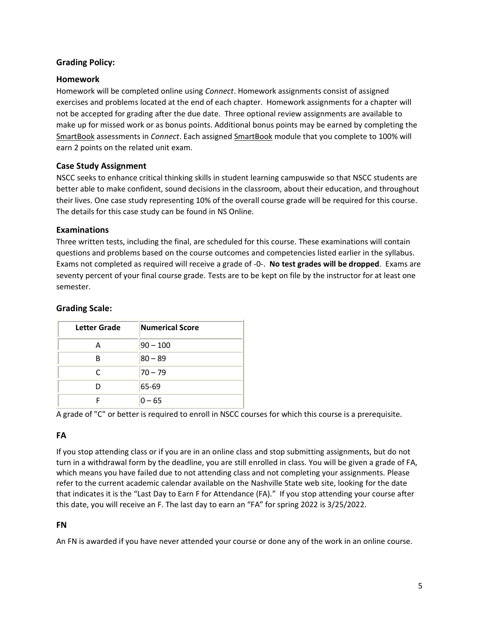# **Grading Policy:**

#### **Homework**

Homework will be completed online using *Connect*. Homework assignments consist of assigned exercises and problems located at the end of each chapter. Homework assignments for a chapter will not be accepted for grading after the due date. Three optional review assignments are available to make up for missed work or as bonus points. Additional bonus points may be earned by completing the SmartBook assessments in *Connect*. Each assigned SmartBook module that you complete to 100% will earn 2 points on the related unit exam.

### **Case Study Assignment**

NSCC seeks to enhance critical thinking skills in student learning campuswide so that NSCC students are better able to make confident, sound decisions in the classroom, about their education, and throughout their lives. One case study representing 10% of the overall course grade will be required for this course. The details for this case study can be found in NS Online.

#### **Examinations**

Three written tests, including the final, are scheduled for this course. These examinations will contain questions and problems based on the course outcomes and competencies listed earlier in the syllabus. Exams not completed as required will receive a grade of -0-. **No test grades will be dropped**. Exams are seventy percent of your final course grade. Tests are to be kept on file by the instructor for at least one semester.

#### **Grading Scale:**

| <b>Letter Grade</b> | <b>Numerical Score</b> |
|---------------------|------------------------|
| А                   | $ 90 - 100$            |
| R                   | $ 80 - 89$             |
| r                   | 70 – 79                |
|                     | 65-69                  |
|                     | $0 - 65$               |

A grade of "C" or better is required to enroll in NSCC courses for which this course is a prerequisite.

### **FA**

If you stop attending class or if you are in an online class and stop submitting assignments, but do not turn in a withdrawal form by the deadline, you are still enrolled in class. You will be given a grade of FA, which means you have failed due to not attending class and not completing your assignments. Please refer to the current academic calendar available on the Nashville State web site, looking for the date that indicates it is the "Last Day to Earn F for Attendance (FA)." If you stop attending your course after this date, you will receive an F. The last day to earn an "FA" for spring 2022 is 3/25/2022.

#### **FN**

An FN is awarded if you have never attended your course or done any of the work in an online course.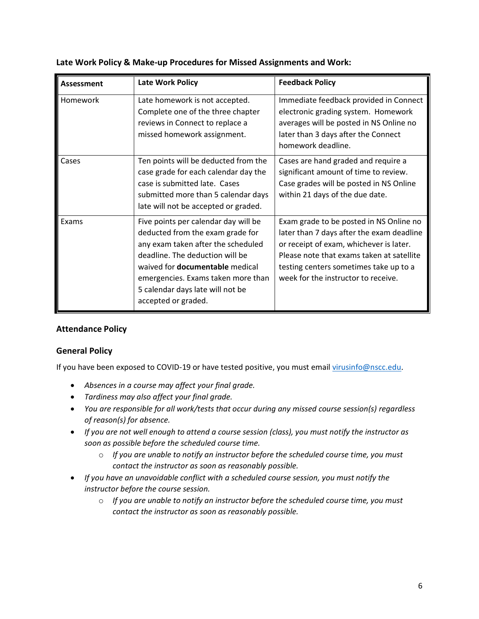| Assessment | <b>Late Work Policy</b>                                                                                                                                                                                                                                                                      | <b>Feedback Policy</b>                                                                                                                                                                                                                                        |
|------------|----------------------------------------------------------------------------------------------------------------------------------------------------------------------------------------------------------------------------------------------------------------------------------------------|---------------------------------------------------------------------------------------------------------------------------------------------------------------------------------------------------------------------------------------------------------------|
| Homework   | Late homework is not accepted.<br>Complete one of the three chapter<br>reviews in Connect to replace a<br>missed homework assignment.                                                                                                                                                        | Immediate feedback provided in Connect<br>electronic grading system. Homework<br>averages will be posted in NS Online no<br>later than 3 days after the Connect<br>homework deadline.                                                                         |
| Cases      | Ten points will be deducted from the<br>case grade for each calendar day the<br>case is submitted late. Cases<br>submitted more than 5 calendar days<br>late will not be accepted or graded.                                                                                                 | Cases are hand graded and require a<br>significant amount of time to review.<br>Case grades will be posted in NS Online<br>within 21 days of the due date.                                                                                                    |
| Exams      | Five points per calendar day will be<br>deducted from the exam grade for<br>any exam taken after the scheduled<br>deadline. The deduction will be<br>waived for <b>documentable</b> medical<br>emergencies. Exams taken more than<br>5 calendar days late will not be<br>accepted or graded. | Exam grade to be posted in NS Online no<br>later than 7 days after the exam deadline<br>or receipt of exam, whichever is later.<br>Please note that exams taken at satellite<br>testing centers sometimes take up to a<br>week for the instructor to receive. |

# **Late Work Policy & Make-up Procedures for Missed Assignments and Work:**

# **Attendance Policy**

### **General Policy**

If you have been exposed to COVID-19 or have tested positive, you must email [virusinfo@nscc.edu](mailto:virusinfo@nscc.edu).

- *Absences in a course may affect your final grade.*
- *Tardiness may also affect your final grade.*
- *You are responsible for all work/tests that occur during any missed course session(s) regardless of reason(s) for absence.*
- *If you are not well enough to attend a course session (class), you must notify the instructor as soon as possible before the scheduled course time.*
	- o *If you are unable to notify an instructor before the scheduled course time, you must contact the instructor as soon as reasonably possible.*
- *If you have an unavoidable conflict with a scheduled course session, you must notify the instructor before the course session.* 
	- o *If you are unable to notify an instructor before the scheduled course time, you must contact the instructor as soon as reasonably possible.*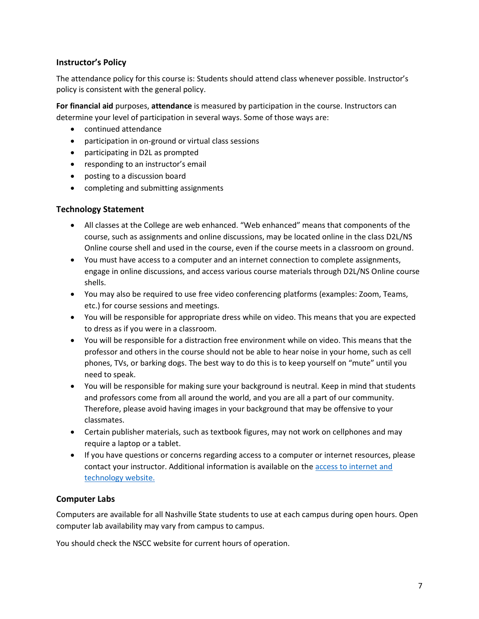# **Instructor's Policy**

The attendance policy for this course is: Students should attend class whenever possible. Instructor's policy is consistent with the general policy.

**For financial aid** purposes, **attendance** is measured by participation in the course. Instructors can determine your level of participation in several ways. Some of those ways are:

- continued attendance
- participation in on-ground or virtual class sessions
- participating in D2L as prompted
- responding to an instructor's email
- posting to a discussion board
- completing and submitting assignments

# **Technology Statement**

- All classes at the College are web enhanced. "Web enhanced" means that components of the course, such as assignments and online discussions, may be located online in the class D2L/NS Online course shell and used in the course, even if the course meets in a classroom on ground.
- You must have access to a computer and an internet connection to complete assignments, engage in online discussions, and access various course materials through D2L/NS Online course shells.
- You may also be required to use free video conferencing platforms (examples: Zoom, Teams, etc.) for course sessions and meetings.
- You will be responsible for appropriate dress while on video. This means that you are expected to dress as if you were in a classroom.
- You will be responsible for a distraction free environment while on video. This means that the professor and others in the course should not be able to hear noise in your home, such as cell phones, TVs, or barking dogs. The best way to do this is to keep yourself on "mute" until you need to speak.
- You will be responsible for making sure your background is neutral. Keep in mind that students and professors come from all around the world, and you are all a part of our community. Therefore, please avoid having images in your background that may be offensive to your classmates.
- Certain publisher materials, such as textbook figures, may not work on cellphones and may require a laptop or a tablet.
- If you have questions or concerns regarding access to a computer or internet resources, please contact your instructor. Additional information is available on the [access to internet and](https://www.nscc.edu/current-students/student-online-resources/access-to-internet-and-technology)  [technology](https://www.nscc.edu/current-students/student-online-resources/access-to-internet-and-technology) website.

# **Computer Labs**

Computers are available for all Nashville State students to use at each campus during open hours. Open computer lab availability may vary from campus to campus.

You should check the NSCC website for current hours of operation.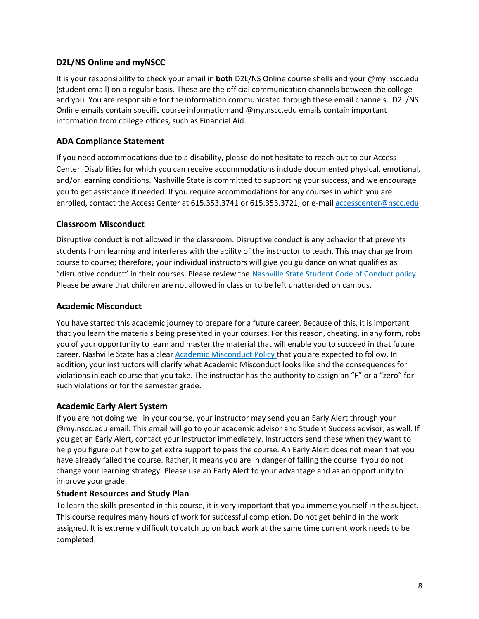# **D2L/NS Online and myNSCC**

It is your responsibility to check your email in **both** D2L/NS Online course shells and your @my.nscc.edu (student email) on a regular basis. These are the official communication channels between the college and you. You are responsible for the information communicated through these email channels. D2L/NS Online emails contain specific course information and @my.nscc.edu emails contain important information from college offices, such as Financial Aid.

# **ADA Compliance Statement**

If you need accommodations due to a disability, please do not hesitate to reach out to our Access Center. Disabilities for which you can receive accommodations include documented physical, emotional, and/or learning conditions. Nashville State is committed to supporting your success, and we encourage you to get assistance if needed. If you require accommodations for any courses in which you are enrolled, contact the Access Center at 615.353.3741 or 615.353.3721, or e-mail [accesscenter@nscc.edu.](mailto:accesscenter@nscc.edu)

### **Classroom Misconduct**

Disruptive conduct is not allowed in the classroom. Disruptive conduct is any behavior that prevents students from learning and interferes with the ability of the instructor to teach. This may change from course to course; therefore, your individual instructors will give you guidance on what qualifies as "disruptive conduct" in their courses. Please review the [Nashville State Student Code of Conduct policy.](https://s3.amazonaws.com/nscc.edu/PDFs/dean-students/Student_Code_of_Conduct_Policy.pdf) Please be aware that children are not allowed in class or to be left unattended on campus.

### **Academic Misconduct**

You have started this academic journey to prepare for a future career. Because of this, it is important that you learn the materials being presented in your courses. For this reason, cheating, in any form, robs you of your opportunity to learn and master the material that will enable you to succeed in that future career. Nashville State has a clear [Academic Misconduct Policy](https://s3.amazonaws.com/nscc.edu/PDFs/dean-students/Student_Code_of_Conduct_Policy.pdf) that you are expected to follow. In addition, your instructors will clarify what Academic Misconduct looks like and the consequences for violations in each course that you take. The instructor has the authority to assign an "F" or a "zero" for such violations or for the semester grade.

### **Academic Early Alert System**

If you are not doing well in your course, your instructor may send you an Early Alert through your @my.nscc.edu email. This email will go to your academic advisor and Student Success advisor, as well. If you get an Early Alert, contact your instructor immediately. Instructors send these when they want to help you figure out how to get extra support to pass the course. An Early Alert does not mean that you have already failed the course. Rather, it means you are in danger of failing the course if you do not change your learning strategy. Please use an Early Alert to your advantage and as an opportunity to improve your grade.

### **Student Resources and Study Plan**

To learn the skills presented in this course, it is very important that you immerse yourself in the subject. This course requires many hours of work for successful completion. Do not get behind in the work assigned. It is extremely difficult to catch up on back work at the same time current work needs to be completed.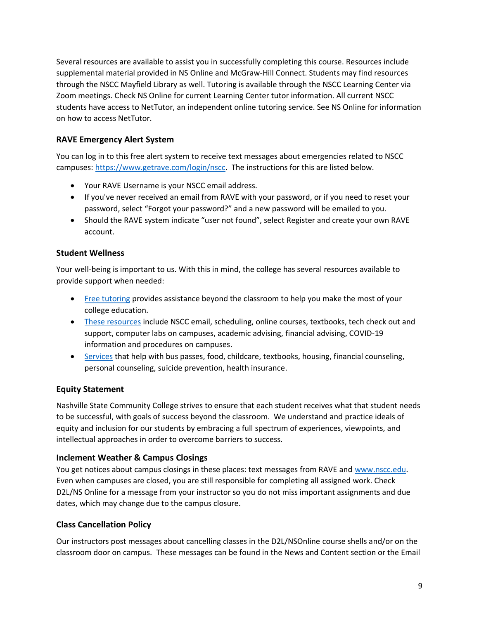Several resources are available to assist you in successfully completing this course. Resources include supplemental material provided in NS Online and McGraw-Hill Connect. Students may find resources through the NSCC Mayfield Library as well. Tutoring is available through the NSCC Learning Center via Zoom meetings. Check NS Online for current Learning Center tutor information. All current NSCC students have access to NetTutor, an independent online tutoring service. See NS Online for information on how to access NetTutor.

# **RAVE Emergency Alert System**

You can log in to this free alert system to receive text messages about emergencies related to NSCC campuses: [https://www.getrave.com/login/nscc.](https://www.getrave.com/login/nscc) The instructions for this are listed below.

- Your RAVE Username is your NSCC email address.
- If you've never received an email from RAVE with your password, or if you need to reset your password, select "Forgot your password?" and a new password will be emailed to you.
- Should the RAVE system indicate "user not found", select Register and create your own RAVE account.

# **Student Wellness**

Your well-being is important to us. With this in mind, the college has several resources available to provide support when needed:

- [Free tutoring](https://www.nscc.edu/current-students/on-campus-resources/learning-center-and-tutoring) provides assistance beyond the classroom to help you make the most of your college education.
- [These resources](https://www.nscc.edu/current-students/student-online-resources) include NSCC email, scheduling, online courses, textbooks, tech check out and support, computer labs on campuses, academic advising, financial advising, COVID-19 information and procedures on campuses.
- [Services](https://www.nscc.edu/current-students/on-campus-resources/student-support-services) that help with bus passes, food, childcare, textbooks, housing, financial counseling, personal counseling, suicide prevention, health insurance.

# **Equity Statement**

Nashville State Community College strives to ensure that each student receives what that student needs to be successful, with goals of success beyond the classroom. We understand and practice ideals of equity and inclusion for our students by embracing a full spectrum of experiences, viewpoints, and intellectual approaches in order to overcome barriers to success.

# **Inclement Weather & Campus Closings**

You get notices about campus closings in these places: text messages from RAVE and [www.nscc.edu.](http://www.nscc.edu/) Even when campuses are closed, you are still responsible for completing all assigned work. Check D2L/NS Online for a message from your instructor so you do not miss important assignments and due dates, which may change due to the campus closure.

### **Class Cancellation Policy**

Our instructors post messages about cancelling classes in the D2L/NSOnline course shells and/or on the classroom door on campus. These messages can be found in the News and Content section or the Email